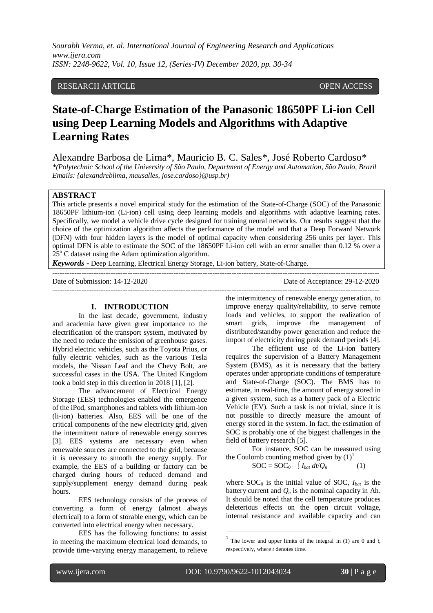*Sourabh Verma, et. al. International Journal of Engineering Research and Applications www.ijera.com ISSN: 2248-9622, Vol. 10, Issue 12, (Series-IV) December 2020, pp. 30-34*

# RESEARCH ARTICLE **CONSERVERS** OPEN ACCESS

# **State-of-Charge Estimation of the Panasonic 18650PF Li-ion Cell using Deep Learning Models and Algorithms with Adaptive Learning Rates**

Alexandre Barbosa de Lima\*, Mauricio B. C. Sales\*, José Roberto Cardoso\*

*\*(Polytechnic School of the University of São Paulo, Department of Energy and Automation, São Paulo, Brazil Emails: {alexandreblima, mausalles, jose.cardoso}@usp.br)*

### **ABSTRACT**

This article presents a novel empirical study for the estimation of the State-of-Charge (SOC) of the Panasonic 18650PF lithium-ion (Li-ion) cell using deep learning models and algorithms with adaptive learning rates. Specifically, we model a vehicle drive cycle designed for training neural networks. Our results suggest that the choice of the optimization algorithm affects the performance of the model and that a Deep Forward Network (DFN) with four hidden layers is the model of optimal capacity when considering 256 units per layer. This optimal DFN is able to estimate the SOC of the 18650PF Li-ion cell with an error smaller than 0.12 % over a  $25^{\circ}$  C dataset using the Adam optimization algorithm.

 $-1.1$ 

---------------------------------------------------------------------------------------------------------------------------------------

*Keywords* **-** Deep Learning, Electrical Energy Storage, Li-ion battery, State-of-Charge.

Date of Submission: 14-12-2020 Date of Acceptance: 29-12-2020

#### **I. INTRODUCTION**

In the last decade, government, industry and academia have given great importance to the electrification of the transport system, motivated by the need to reduce the emission of greenhouse gases. Hybrid electric vehicles, such as the Toyota Prius, or fully electric vehicles, such as the various Tesla models, the Nissan Leaf and the Chevy Bolt, are successful cases in the USA. The United Kingdom took a bold step in this direction in 2018 [1], [2].

The advancement of Electrical Energy Storage (EES) technologies enabled the emergence of the iPod, smartphones and tablets with lithium-ion (li-ion) batteries. Also, EES will be one of the critical components of the new electricity grid, given the intermittent nature of renewable energy sources [3]. EES systems are necessary even when renewable sources are connected to the grid, because it is necessary to smooth the energy supply. For example, the EES of a building or factory can be charged during hours of reduced demand and supply/supplement energy demand during peak hours.

EES technology consists of the process of converting a form of energy (almost always electrical) to a form of storable energy, which can be converted into electrical energy when necessary.

EES has the following functions: to assist in meeting the maximum electrical load demands, to provide time-varying energy management, to relieve the intermittency of renewable energy generation, to improve energy quality/reliability, to serve remote loads and vehicles, to support the realization of smart grids, improve the management of distributed/standby power generation and reduce the import of electricity during peak demand periods [4].

The efficient use of the Li-ion battery requires the supervision of a Battery Management System (BMS), as it is necessary that the battery operates under appropriate conditions of temperature and State-of-Charge (SOC). The BMS has to estimate, in real-time, the amount of energy stored in a given system, such as a battery pack of a Electric Vehicle (EV). Such a task is not trivial, since it is not possible to directly measure the amount of energy stored in the system. In fact, the estimation of SOC is probably one of the biggest challenges in the field of battery research [5].

For instance, SOC can be measured using the Coulomb counting method given by  $(1)^1$ 

$$
SOC = SOC_0 - \int I_{bat} dt / Q_n \tag{1}
$$

where  $SOC<sub>0</sub>$  is the initial value of SOC,  $I<sub>bat</sub>$  is the battery current and  $O_n$  is the nominal capacity in Ah. It should be noted that the cell temperature produces deleterious effects on the open circuit voltage, internal resistance and available capacity and can

l

**.** 

<sup>1</sup> The lower and upper limits of the integral in (1) are 0 and *t*, respectively, where *t* denotes time.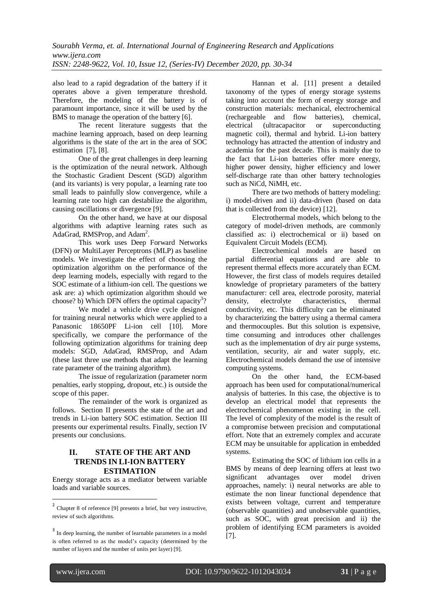also lead to a rapid degradation of the battery if it operates above a given temperature threshold. Therefore, the modeling of the battery is of paramount importance, since it will be used by the BMS to manage the operation of the battery [6].

The recent literature suggests that the machine learning approach, based on deep learning algorithms is the state of the art in the area of SOC estimation [7], [8].

One of the great challenges in deep learning is the optimization of the neural network. Although the Stochastic Gradient Descent (SGD) algorithm (and its variants) is very popular, a learning rate too small leads to painfully slow convergence, while a learning rate too high can destabilize the algorithm, causing oscillations or divergence [9].

On the other hand, we have at our disposal algorithms with adaptive learning rates such as AdaGrad, RMSProp, and Adam<sup>2</sup>.

This work uses Deep Forward Networks (DFN) or MultiLayer Perceptrons (MLP) as baseline models. We investigate the effect of choosing the optimization algorithm on the performance of the deep learning models, especially with regard to the SOC estimate of a lithium-ion cell. The questions we ask are: a) which optimization algorithm should we choose? b) Which DFN offers the optimal capacity<sup>3</sup>?

We model a vehicle drive cycle designed for training neural networks which were applied to a Panasonic 18650PF Li-ion cell [10]. More specifically, we compare the performance of the following optimization algorithms for training deep models: SGD, AdaGrad, RMSProp, and Adam (these last three use methods that adapt the learning rate parameter of the training algorithm).

The issue of regularization (parameter norm penalties, early stopping, dropout, etc.) is outside the scope of this paper.

The remainder of the work is organized as follows. Section II presents the state of the art and trends in Li-ion battery SOC estimation. Section III presents our experimental results. Finally, section IV presents our conclusions.

# **II. STATE OF THE ART AND TRENDS IN LI-ION BATTERY ESTIMATION**

Energy storage acts as a mediator between variable loads and variable sources.

Hannan et al. [11] present a detailed taxonomy of the types of energy storage systems taking into account the form of energy storage and construction materials: mechanical, electrochemical (rechargeable and flow batteries), chemical, electrical (ultracapacitor or superconducting magnetic coil), thermal and hybrid. Li-ion battery technology has attracted the attention of industry and academia for the past decade. This is mainly due to the fact that Li-ion batteries offer more energy, higher power density, higher efficiency and lower self-discharge rate than other battery technologies such as NiCd, NiMH, etc.

There are two methods of battery modeling: i) model-driven and ii) data-driven (based on data that is collected from the device) [12].

Electrothermal models, which belong to the category of model-driven methods, are commonly classified as: i) electrochemical or ii) based on Equivalent Circuit Models (ECM).

Electrochemical models are based on partial differential equations and are able to represent thermal effects more accurately than ECM. However, the first class of models requires detailed knowledge of proprietary parameters of the battery manufacturer: cell area, electrode porosity, material density, electrolyte characteristics, thermal conductivity, etc. This difficulty can be eliminated by characterizing the battery using a thermal camera and thermocouples. But this solution is expensive, time consuming and introduces other challenges such as the implementation of dry air purge systems, ventilation, security, air and water supply, etc. Electrochemical models demand the use of intensive computing systems.

On the other hand, the ECM-based approach has been used for computational/numerical analysis of batteries. In this case, the objective is to develop an electrical model that represents the electrochemical phenomenon existing in the cell. The level of complexity of the model is the result of a compromise between precision and computational effort. Note that an extremely complex and accurate ECM may be unsuitable for application in embedded systems.

Estimating the SOC of lithium ion cells in a BMS by means of deep learning offers at least two significant advantages over model driven approaches, namely: i) neural networks are able to estimate the non linear functional dependence that exists between voltage, current and temperature (observable quantities) and unobservable quantities, such as SOC, with great precision and ii) the problem of identifying ECM parameters is avoided [7].

<sup>&</sup>lt;sup>2</sup> Chapter 8 of reference [9] presents a brief, but very instructive, review of such algorithms.

<sup>&</sup>lt;sup>3</sup> In deep learning, the number of learnable parameters in a model is often referred to as the model's capacity (determined by the number of layers and the number of units per layer) [9].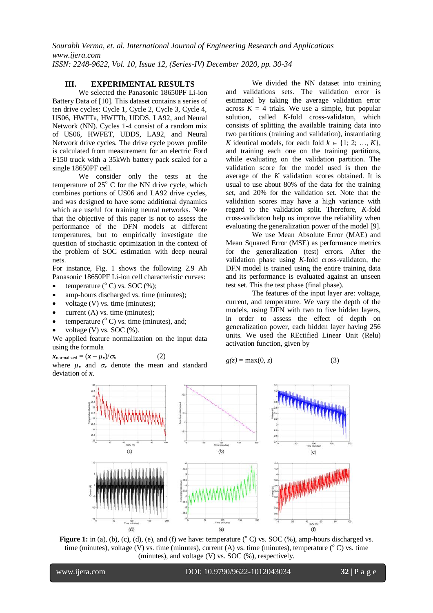## **III. EXPERIMENTAL RESULTS**

We selected the Panasonic 18650PF Li-ion Battery Data of [10]. This dataset contains a series of ten drive cycles: Cycle 1, Cycle 2, Cycle 3, Cycle 4, US06, HWFTa, HWFTb, UDDS, LA92, and Neural Network (NN). Cycles 1-4 consist of a random mix of US06, HWFET, UDDS, LA92, and Neural Network drive cycles. The drive cycle power profile is calculated from measurement for an electric Ford F150 truck with a 35kWh battery pack scaled for a single 18650PF cell.

We consider only the tests at the temperature of  $25^{\circ}$  C for the NN drive cycle, which combines portions of US06 and LA92 drive cycles, and was designed to have some additional dynamics which are useful for training neural networks. Note that the objective of this paper is not to assess the performance of the DFN models at different temperatures, but to empirically investigate the question of stochastic optimization in the context of the problem of SOC estimation with deep neural nets.

For instance, Fig. 1 shows the following 2.9 Ah Panasonic 18650PF Li-ion cell characteristic curves:

- temperature  $(^{\circ}$  C) vs. SOC  $(\%);$
- amp-hours discharged vs. time (minutes);
- voltage (V) vs. time (minutes);
- current (A) vs. time (minutes);
- temperature  $(^{\circ}C)$  vs. time (minutes), and;
- voltage  $(V)$  vs. SOC  $(\% )$ .

We applied feature normalization on the input data using the formula

 $x_{\text{normalized}} = (x - \mu_x)/\sigma_x$  (2)

where  $\mu_x$  and  $\sigma_x$  denote the mean and standard deviation of *x*.

We divided the NN dataset into training and validations sets. The validation error is estimated by taking the average validation error across  $K = 4$  trials. We use a simple, but popular solution, called *K*-fold cross-validaton, which consists of splitting the available training data into two partitions (training and validation), instantiating *K* identical models, for each fold  $k \in \{1, 2, ..., K\}$ , and training each one on the training partitions, while evaluating on the validation partition. The validation score for the model used is then the average of the *K* validation scores obtained. It is usual to use about 80% of the data for the training set, and 20% for the validation set. Note that the validation scores may have a high variance with regard to the validation split. Therefore, *K*-fold cross-validaton help us improve the reliability when evaluating the generalization power of the model [9].

We use Mean Absolute Error (MAE) and Mean Squared Error (MSE) as performance metrics for the generalization (test) errors. After the validation phase using *K*-fold cross-validaton, the DFN model is trained using the entire training data and its performance is evaluated against an unseen test set. This the test phase (final phase).

The features of the input layer are: voltage, current, and temperature. We vary the depth of the models, using DFN with two to five hidden layers, in order to assess the effect of depth on generalization power, each hidden layer having 256 units. We used the REctified Linear Unit (Relu) activation function, given by

$$
g(z) = \max(0, z) \tag{3}
$$



**Figure 1:** in (a), (b), (c), (d), (e), and (f) we have: temperature ( $^{\circ}$  C) vs. SOC (%), amp-hours discharged vs. time (minutes), voltage (V) vs. time (minutes), current (A) vs. time (minutes), temperature ( $\rm^{\circ}$ C) vs. time (minutes), and voltage (V) vs. SOC (%), respectively.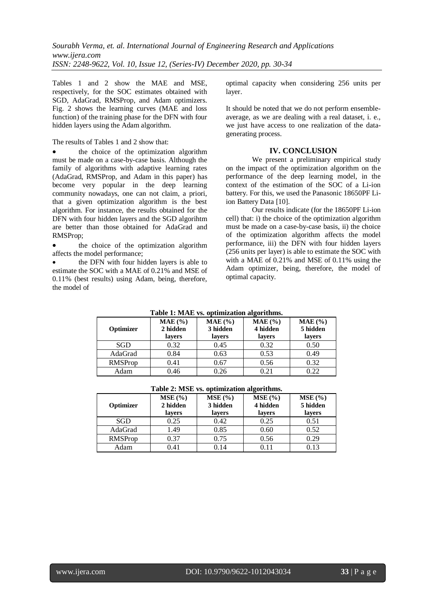Tables 1 and 2 show the MAE and MSE, respectively, for the SOC estimates obtained with SGD, AdaGrad, RMSProp, and Adam optimizers. Fig. 2 shows the learning curves (MAE and loss function) of the training phase for the DFN with four hidden layers using the Adam algorithm.

### The results of Tables 1 and 2 show that:

 the choice of the optimization algorithm must be made on a case-by-case basis. Although the family of algorithms with adaptive learning rates (AdaGrad, RMSProp, and Adam in this paper) has become very popular in the deep learning community nowadays, one can not claim, a priori, that a given optimization algorithm is the best algorithm. For instance, the results obtained for the DFN with four hidden layers and the SGD algorihtm are better than those obtained for AdaGrad and RMSProp;

 the choice of the optimization algorithm affects the model performance;

 the DFN with four hidden layers is able to estimate the SOC with a MAE of 0.21% and MSE of 0.11% (best results) using Adam, being, therefore, the model of

optimal capacity when considering 256 units per layer.

It should be noted that we do not perform ensembleaverage, as we are dealing with a real dataset, i. e., we just have access to one realization of the datagenerating process.

## **IV. CONCLUSION**

We present a preliminary empirical study on the impact of the optimization algorithm on the performance of the deep learning model, in the context of the estimation of the SOC of a Li-ion battery. For this, we used the Panasonic 18650PF Liion Battery Data [10].

Our results indicate (for the 18650PF Li-ion cell) that: i) the choice of the optimization algorithm must be made on a case-by-case basis, ii) the choice of the optimization algorithm affects the model performance, iii) the DFN with four hidden layers (256 units per layer) is able to estimate the SOC with with a MAE of 0.21% and MSE of 0.11% using the Adam optimizer, being, therefore, the model of optimal capacity.

| Table 1: MAE vs. optimization algorithms. |                                |                                     |                                 |                                 |  |  |
|-------------------------------------------|--------------------------------|-------------------------------------|---------------------------------|---------------------------------|--|--|
| Optimizer                                 | MAE (% )<br>2 hidden<br>layers | $MAE$ $(\% )$<br>3 hidden<br>layers | $MAE$ (%)<br>4 hidden<br>layers | $MAE$ (%)<br>5 hidden<br>layers |  |  |
| SGD                                       | 0.32                           | 0.45                                | 0.32                            | 0.50                            |  |  |
| AdaGrad                                   | 0.84                           | 0.63                                | 0.53                            | 0.49                            |  |  |
| RMSProp                                   | 0.41                           | 0.67                                | 0.56                            | 0.32                            |  |  |
| Adam                                      | 0.46                           | 0.26                                | 0.21                            | 0.22                            |  |  |

**Table 1: MAE vs. optimization algorithms.**

| $1$ avit $2$ , ivide vs. upuninzation arguments. |                                    |                              |                              |                              |  |  |
|--------------------------------------------------|------------------------------------|------------------------------|------------------------------|------------------------------|--|--|
| Optimizer                                        | $MSE($ % $)$<br>2 hidden<br>lavers | MSE(%)<br>3 hidden<br>lavers | MSE(%)<br>4 hidden<br>lavers | MSE(%)<br>5 hidden<br>lavers |  |  |
| <b>SGD</b>                                       | 0.25                               | 0.42                         | 0.25                         | 0.51                         |  |  |
| AdaGrad                                          | 1.49                               | 0.85                         | 0.60                         | 0.52                         |  |  |
| RMSProp                                          | 0.37                               | 0.75                         | 0.56                         | 0.29                         |  |  |
| Adam                                             | 0.41                               | 0.14                         | 0.11                         | 0.13                         |  |  |

**Table 2: MSE vs. optimization algorithms.**